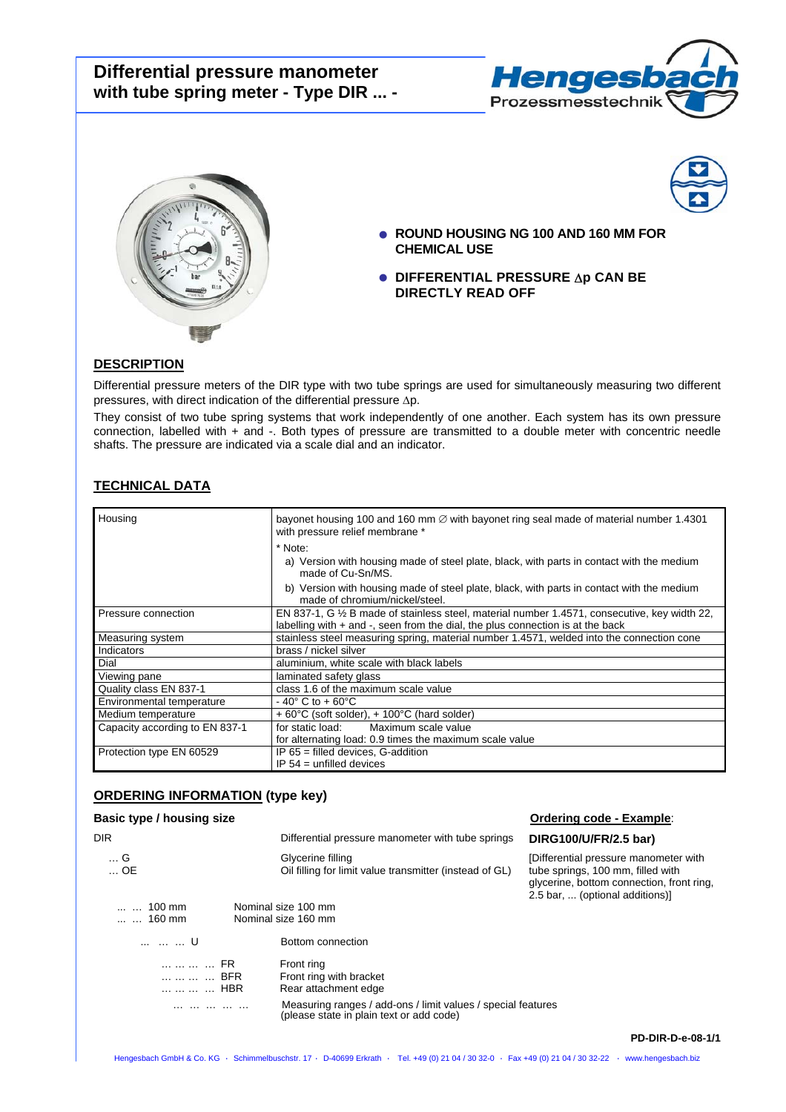# **Differential pressure manometer with tube spring meter - Type DIR ... -**







- **ROUND HOUSING NG 100 AND 160 MM FOR CHEMICAL USE**
- **DIFFERENTIAL PRESSURE** ∆**p CAN BE DIRECTLY READ OFF**

### **DESCRIPTION**

Differential pressure meters of the DIR type with two tube springs are used for simultaneously measuring two different pressures, with direct indication of the differential pressure ∆p.

They consist of two tube spring systems that work independently of one another. Each system has its own pressure connection, labelled with + and -. Both types of pressure are transmitted to a double meter with concentric needle shafts. The pressure are indicated via a scale dial and an indicator.

# **TECHNICAL DATA**

| Housing                        | bayonet housing 100 and 160 mm $\varnothing$ with bayonet ring seal made of material number 1.4301<br>with pressure relief membrane *<br>* Note:<br>a) Version with housing made of steel plate, black, with parts in contact with the medium<br>made of Cu-Sn/MS.<br>b) Version with housing made of steel plate, black, with parts in contact with the medium<br>made of chromium/nickel/steel. |
|--------------------------------|---------------------------------------------------------------------------------------------------------------------------------------------------------------------------------------------------------------------------------------------------------------------------------------------------------------------------------------------------------------------------------------------------|
| Pressure connection            | EN 837-1, G 1/2 B made of stainless steel, material number 1.4571, consecutive, key width 22,<br>labelling with $+$ and $-$ , seen from the dial, the plus connection is at the back                                                                                                                                                                                                              |
| Measuring system               | stainless steel measuring spring, material number 1.4571, welded into the connection cone                                                                                                                                                                                                                                                                                                         |
| Indicators                     | brass / nickel silver                                                                                                                                                                                                                                                                                                                                                                             |
| Dial                           | aluminium, white scale with black labels                                                                                                                                                                                                                                                                                                                                                          |
| Viewing pane                   | laminated safety glass                                                                                                                                                                                                                                                                                                                                                                            |
| Quality class EN 837-1         | class 1.6 of the maximum scale value                                                                                                                                                                                                                                                                                                                                                              |
| Environmental temperature      | $-40^{\circ}$ C to $+60^{\circ}$ C                                                                                                                                                                                                                                                                                                                                                                |
| Medium temperature             | $+60^{\circ}$ C (soft solder), $+100^{\circ}$ C (hard solder)                                                                                                                                                                                                                                                                                                                                     |
| Capacity according to EN 837-1 | for static load:<br>Maximum scale value                                                                                                                                                                                                                                                                                                                                                           |
|                                | for alternating load: 0.9 times the maximum scale value                                                                                                                                                                                                                                                                                                                                           |
| Protection type EN 60529       | $IP$ 65 = filled devices, G-addition                                                                                                                                                                                                                                                                                                                                                              |
|                                | $IP 54 =$ unfilled devices                                                                                                                                                                                                                                                                                                                                                                        |

### **ORDERING INFORMATION (type key)**

## **Basic type / housing size Community Community Community Community Community Community Community Community Community Community Community Community Community Community Community Community Community Community Community Commu**

| <b>DIR</b>             | Differential pressure manometer with tube springs                                                        | DIRG100/U/FR/2.5 bar)                                                                                                                                      |
|------------------------|----------------------------------------------------------------------------------------------------------|------------------------------------------------------------------------------------------------------------------------------------------------------------|
| G<br>$\dots$ OE        | Glycerine filling<br>Oil filling for limit value transmitter (instead of GL)                             | [Differential pressure manometer with<br>tube springs, 100 mm, filled with<br>glycerine, bottom connection, front ring,<br>2.5 bar,  (optional additions)] |
| $100 \text{ mm}$       | Nominal size 100 mm                                                                                      |                                                                                                                                                            |
| $\dots$ $\dots$ 160 mm | Nominal size 160 mm                                                                                      |                                                                                                                                                            |
| U                      | Bottom connection                                                                                        |                                                                                                                                                            |
| FR                     | Front ring                                                                                               |                                                                                                                                                            |
| BFR                    | Front ring with bracket                                                                                  |                                                                                                                                                            |
| HBR                    | Rear attachment edge                                                                                     |                                                                                                                                                            |
|                        | Measuring ranges / add-ons / limit values / special features<br>(please state in plain text or add code) |                                                                                                                                                            |
|                        |                                                                                                          | <b>PD-DIR-D-e-08-1/1</b>                                                                                                                                   |